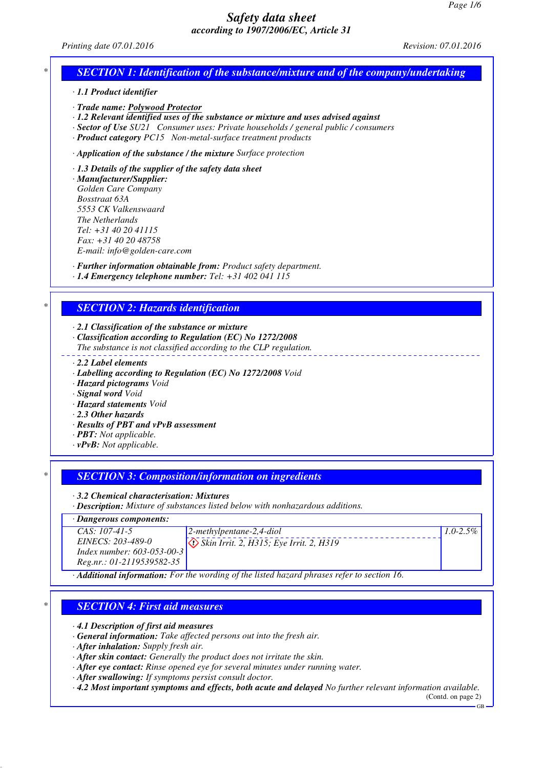#### *Printing date 07.01.2016 Revision: 07.01.2016*

### *\* SECTION 1: Identification of the substance/mixture and of the company/undertaking*

*· 1.1 Product identifier*

*· Trade name: Polywood Protector*

*· 1.2 Relevant identified uses of the substance or mixture and uses advised against*

*· Sector of Use SU21 Consumer uses: Private households / general public / consumers*

*· Product category PC15 Non-metal-surface treatment products*

*· Application of the substance / the mixture Surface protection*

*· 1.3 Details of the supplier of the safety data sheet*

*· Manufacturer/Supplier: Golden Care Company Bosstraat 63A 5553 CK Valkenswaard The Netherlands Tel: +31 40 20 41115 Fax: +31 40 20 48758 E-mail: info@golden-care.com*

*· Further information obtainable from: Product safety department. · 1.4 Emergency telephone number: Tel: +31 402 041 115*

### *\* SECTION 2: Hazards identification*

*· 2.1 Classification of the substance or mixture*

*· Classification according to Regulation (EC) No 1272/2008*

*The substance is not classified according to the CLP regulation.*

- *· 2.2 Label elements*
- *· Labelling according to Regulation (EC) No 1272/2008 Void*
- *· Hazard pictograms Void*
- *· Signal word Void*

*· Hazard statements Void*

- *· 2.3 Other hazards*
- *· Results of PBT and vPvB assessment*
- *· PBT: Not applicable.*
- *· vPvB: Not applicable.*

### *\* SECTION 3: Composition/information on ingredients*

*· 3.2 Chemical characterisation: Mixtures*

*· Description: Mixture of substances listed below with nonhazardous additions.*

*· Dangerous components:*

| $CAS: 107-41-5$            | $\vert$ 2-methylpentane-2,4-diol                                | $1.0 - 2.5\%$ |
|----------------------------|-----------------------------------------------------------------|---------------|
| <i>EINECS: 203-489-0</i>   | $\langle \cdot \rangle$ Skin Irrit. 2, H315; Eye Irrit. 2, H319 |               |
| Index number: 603-053-00-3 |                                                                 |               |
| Reg.nr.: 01-2119539582-35  |                                                                 |               |
|                            |                                                                 |               |

*· Additional information: For the wording of the listed hazard phrases refer to section 16.*

### *\* SECTION 4: First aid measures*

*· 4.1 Description of first aid measures*

- *· General information: Take affected persons out into the fresh air.*
- *· After inhalation: Supply fresh air.*
- *· After skin contact: Generally the product does not irritate the skin.*
- *· After eye contact: Rinse opened eye for several minutes under running water.*
- *· After swallowing: If symptoms persist consult doctor.*

*· 4.2 Most important symptoms and effects, both acute and delayed No further relevant information available.*

(Contd. on page 2)

GB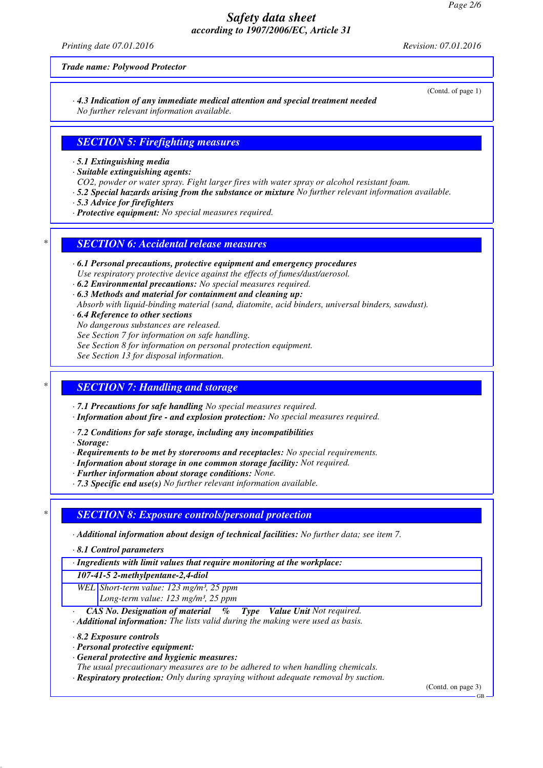*Printing date 07.01.2016 Revision: 07.01.2016*

*Trade name: Polywood Protector*

*· 4.3 Indication of any immediate medical attention and special treatment needed No further relevant information available.*

### *SECTION 5: Firefighting measures*

*· 5.1 Extinguishing media*

*· Suitable extinguishing agents:*

*CO2, powder or water spray. Fight larger fires with water spray or alcohol resistant foam.*

- *· 5.2 Special hazards arising from the substance or mixture No further relevant information available.*
- *· 5.3 Advice for firefighters*
- *· Protective equipment: No special measures required.*

### *\* SECTION 6: Accidental release measures*

- *· 6.1 Personal precautions, protective equipment and emergency procedures Use respiratory protective device against the effects of fumes/dust/aerosol.*
- *· 6.2 Environmental precautions: No special measures required.*
- *· 6.3 Methods and material for containment and cleaning up:*

*Absorb with liquid-binding material (sand, diatomite, acid binders, universal binders, sawdust).*

*· 6.4 Reference to other sections*

*No dangerous substances are released.*

*See Section 7 for information on safe handling.*

*See Section 8 for information on personal protection equipment.*

*See Section 13 for disposal information.*

### *\* SECTION 7: Handling and storage*

*· 7.1 Precautions for safe handling No special measures required.*

*· Information about fire - and explosion protection: No special measures required.*

*· 7.2 Conditions for safe storage, including any incompatibilities*

*· Storage:*

*· Requirements to be met by storerooms and receptacles: No special requirements.*

- *· Information about storage in one common storage facility: Not required.*
- *· Further information about storage conditions: None.*
- *· 7.3 Specific end use(s) No further relevant information available.*

### *\* SECTION 8: Exposure controls/personal protection*

*· Additional information about design of technical facilities: No further data; see item 7.*

*· 8.1 Control parameters*

*· Ingredients with limit values that require monitoring at the workplace:*

*107-41-5 2-methylpentane-2,4-diol*

*WEL Short-term value: 123 mg/m³, 25 ppm Long-term value: 123 mg/m³, 25 ppm*

*· CAS No. Designation of material % Type Value Unit Not required.*

*· Additional information: The lists valid during the making were used as basis.*

*· 8.2 Exposure controls*

- *· Personal protective equipment:*
- *· General protective and hygienic measures:*
- *The usual precautionary measures are to be adhered to when handling chemicals.*
- *· Respiratory protection: Only during spraying without adequate removal by suction.*

(Contd. on page 3)

(Contd. of page 1)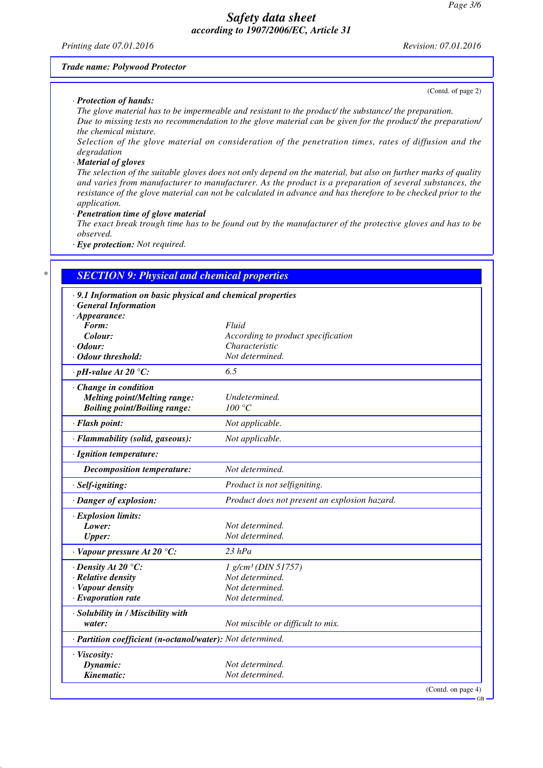*Printing date 07.01.2016 Revision: 07.01.2016*

#### *Trade name: Polywood Protector*

*· Protection of hands:*

(Contd. of page 2)

*The glove material has to be impermeable and resistant to the product/ the substance/ the preparation. Due to missing tests no recommendation to the glove material can be given for the product/ the preparation/ the chemical mixture.*

*Selection of the glove material on consideration of the penetration times, rates of diffusion and the degradation*

#### *· Material of gloves*

*The selection of the suitable gloves does not only depend on the material, but also on further marks of quality and varies from manufacturer to manufacturer. As the product is a preparation of several substances, the resistance of the glove material can not be calculated in advance and has therefore to be checked prior to the application.*

*· Penetration time of glove material*

*The exact break trough time has to be found out by the manufacturer of the protective gloves and has to be observed.*

*· Eye protection: Not required.*

# *\* SECTION 9: Physical and chemical properties*

| .9.1 Information on basic physical and chemical properties |                                                      |  |
|------------------------------------------------------------|------------------------------------------------------|--|
| · General Information                                      |                                                      |  |
| $\cdot$ Appearance:                                        |                                                      |  |
| Form:<br>Colour:                                           | Fluid                                                |  |
| $\cdot$ Odour:                                             | According to product specification<br>Characteristic |  |
| · Odour threshold:                                         | Not determined.                                      |  |
|                                                            |                                                      |  |
| $\cdot$ pH-value At 20 $\degree$ C:                        | 6.5                                                  |  |
| Change in condition                                        |                                                      |  |
| <b>Melting point/Melting range:</b>                        | Undetermined.                                        |  |
| <b>Boiling point/Boiling range:</b>                        | 100 °C                                               |  |
| · Flash point:                                             | Not applicable.                                      |  |
| · Flammability (solid, gaseous):                           | Not applicable.                                      |  |
| · Ignition temperature:                                    |                                                      |  |
| <b>Decomposition temperature:</b>                          | Not determined.                                      |  |
| $·$ <i>Self-igniting</i> :                                 | Product is not selfigniting.                         |  |
| · Danger of explosion:                                     | Product does not present an explosion hazard.        |  |
| · Explosion limits:                                        |                                                      |  |
| Lower:                                                     | Not determined.                                      |  |
| <b>Upper:</b>                                              | Not determined.                                      |  |
| $\cdot$ Vapour pressure At 20 °C:                          | $23$ hPa                                             |  |
| $\cdot$ Density At 20 °C:                                  | 1 g/cm <sup>3</sup> (DIN 51757)                      |  |
| · Relative density                                         | Not determined.                                      |  |
| · Vapour density                                           | Not determined.                                      |  |
| $\cdot$ Evaporation rate                                   | Not determined.                                      |  |
| · Solubility in / Miscibility with                         |                                                      |  |
| water:                                                     | Not miscible or difficult to mix.                    |  |
| · Partition coefficient (n-octanol/water): Not determined. |                                                      |  |
| · Viscosity:                                               |                                                      |  |
| Dynamic:                                                   | Not determined.                                      |  |
| Kinematic:                                                 | Not determined.                                      |  |
|                                                            | (Contd. on page 4)                                   |  |

GB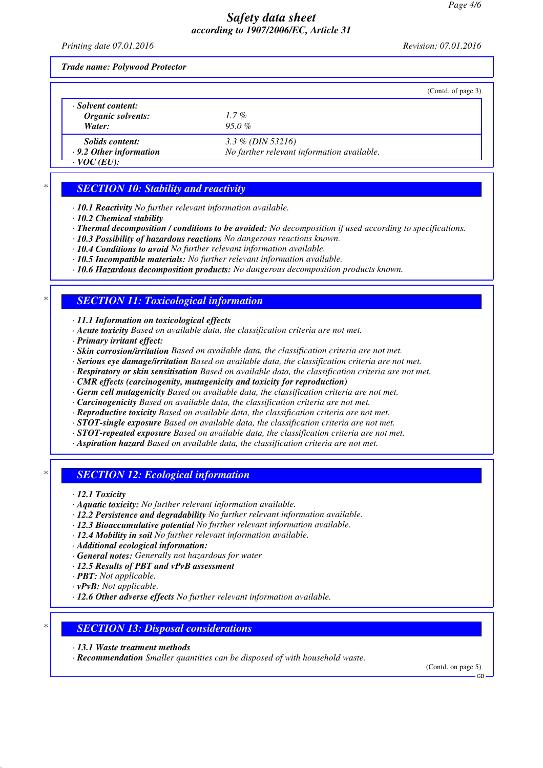*Printing date 07.01.2016 Revision: 07.01.2016*

*Trade name: Polywood Protector*

|                               |                                            | (Contd. of page 3) |
|-------------------------------|--------------------------------------------|--------------------|
| · Solvent content:            |                                            |                    |
| Organic solvents:             | $1.7\%$                                    |                    |
| Water:                        | $95.0\%$                                   |                    |
| Solids content:               | 3.3 % (DIN 53216)                          |                    |
| $\cdot$ 9.2 Other information | No further relevant information available. |                    |
| · VOC (EU):                   |                                            |                    |

*\* SECTION 10: Stability and reactivity*

*· 10.1 Reactivity No further relevant information available.*

- *· 10.2 Chemical stability*
- *· Thermal decomposition / conditions to be avoided: No decomposition if used according to specifications.*
- *· 10.3 Possibility of hazardous reactions No dangerous reactions known.*
- *· 10.4 Conditions to avoid No further relevant information available.*
- *· 10.5 Incompatible materials: No further relevant information available.*
- *· 10.6 Hazardous decomposition products: No dangerous decomposition products known.*

## *\* SECTION 11: Toxicological information*

*· 11.1 Information on toxicological effects*

- *· Acute toxicity Based on available data, the classification criteria are not met.*
- *· Primary irritant effect:*
- *· Skin corrosion/irritation Based on available data, the classification criteria are not met.*
- *· Serious eye damage/irritation Based on available data, the classification criteria are not met.*
- *· Respiratory or skin sensitisation Based on available data, the classification criteria are not met.*
- *· CMR effects (carcinogenity, mutagenicity and toxicity for reproduction)*
- *· Germ cell mutagenicity Based on available data, the classification criteria are not met.*
- *· Carcinogenicity Based on available data, the classification criteria are not met.*
- *· Reproductive toxicity Based on available data, the classification criteria are not met.*
- *· STOT-single exposure Based on available data, the classification criteria are not met.*
- *· STOT-repeated exposure Based on available data, the classification criteria are not met.*
- *· Aspiration hazard Based on available data, the classification criteria are not met.*

### *\* SECTION 12: Ecological information*

- *· 12.1 Toxicity*
- *· Aquatic toxicity: No further relevant information available.*
- *· 12.2 Persistence and degradability No further relevant information available.*
- *· 12.3 Bioaccumulative potential No further relevant information available.*
- *· 12.4 Mobility in soil No further relevant information available.*
- *· Additional ecological information:*
- *· General notes: Generally not hazardous for water*
- *· 12.5 Results of PBT and vPvB assessment*
- *· PBT: Not applicable.*
- *· vPvB: Not applicable.*
- *· 12.6 Other adverse effects No further relevant information available.*

### *\* SECTION 13: Disposal considerations*

- *· 13.1 Waste treatment methods*
- *· Recommendation Smaller quantities can be disposed of with household waste.*

(Contd. on page 5)

GB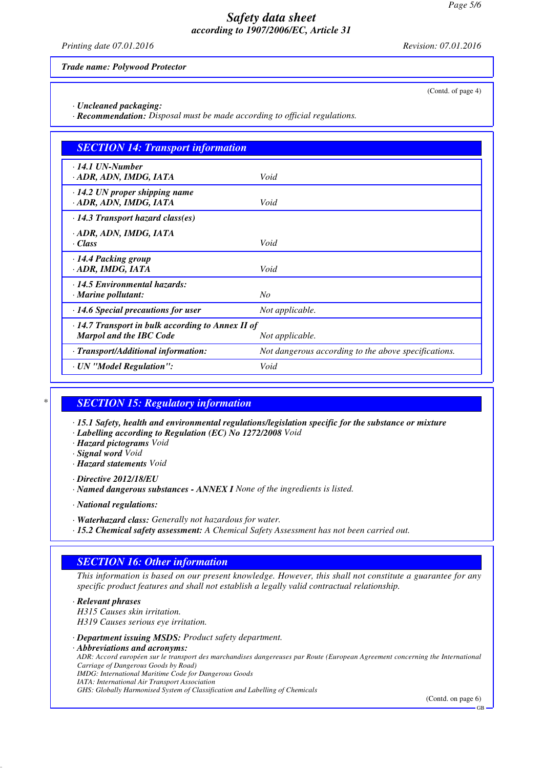*Printing date 07.01.2016 Revision: 07.01.2016*

(Contd. of page 4)

*Trade name: Polywood Protector*

*· Uncleaned packaging:*

*· Recommendation: Disposal must be made according to official regulations.*

| <b>SECTION 14: Transport information</b>                                                  |                                                      |  |
|-------------------------------------------------------------------------------------------|------------------------------------------------------|--|
| $\cdot$ 14.1 UN-Number<br>· ADR, ADN, IMDG, IATA                                          | Void                                                 |  |
| $\cdot$ 14.2 UN proper shipping name<br>· ADR, ADN, IMDG, IATA                            | Void                                                 |  |
| $\cdot$ 14.3 Transport hazard class(es)                                                   |                                                      |  |
| · ADR, ADN, IMDG, IATA<br>· Class                                                         | Void                                                 |  |
| · 14.4 Packing group<br>· ADR, IMDG, IATA                                                 | Void                                                 |  |
| $\cdot$ 14.5 Environmental hazards:<br>$\cdot$ Marine pollutant:                          | No                                                   |  |
| $\cdot$ 14.6 Special precautions for user                                                 | Not applicable.                                      |  |
| $\cdot$ 14.7 Transport in bulk according to Annex II of<br><b>Marpol and the IBC Code</b> | Not applicable.                                      |  |
| · Transport/Additional information:                                                       | Not dangerous according to the above specifications. |  |
| · UN "Model Regulation":                                                                  | Void                                                 |  |

## *\* SECTION 15: Regulatory information*

*· 15.1 Safety, health and environmental regulations/legislation specific for the substance or mixture*

*· Labelling according to Regulation (EC) No 1272/2008 Void*

*· Hazard pictograms Void*

*· Signal word Void*

*· Hazard statements Void*

*· Directive 2012/18/EU*

*· Named dangerous substances - ANNEX I None of the ingredients is listed.*

*· National regulations:*

*· Waterhazard class: Generally not hazardous for water.*

*· 15.2 Chemical safety assessment: A Chemical Safety Assessment has not been carried out.*

## *SECTION 16: Other information*

*This information is based on our present knowledge. However, this shall not constitute a guarantee for any specific product features and shall not establish a legally valid contractual relationship.*

*· Relevant phrases H315 Causes skin irritation. H319 Causes serious eye irritation.*

*· Department issuing MSDS: Product safety department.*

*· Abbreviations and acronyms:*

*ADR: Accord européen sur le transport des marchandises dangereuses par Route (European Agreement concerning the International Carriage of Dangerous Goods by Road)*

*IMDG: International Maritime Code for Dangerous Goods*

*IATA: International Air Transport Association*

*GHS: Globally Harmonised System of Classification and Labelling of Chemicals*

(Contd. on page 6)

GB